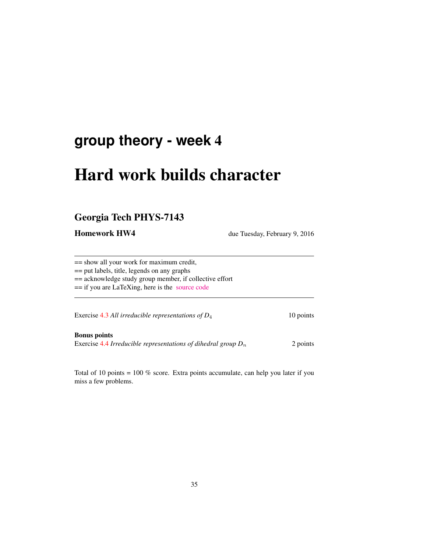# **group theory - week** 4

# Hard work builds character

## Georgia Tech PHYS-7143

**Homework HW4** due Tuesday, February 9, 2016

== show all your work for maximum credit, == put labels, title, legends on any graphs == acknowledge study group member, if collective effort == if you are LaTeXing, here is the [source code](http://birdtracks.eu/courses/PHYS-7143-16/exerWeek4.tex)

Exercise 4.3 *All irreducible representations of D*<sub>4</sub> 10 points

Bonus points Exercise 4.4 *Irreducible representations of dihedral group*  $D_n$  2 points

Total of 10 points = 100 % score. Extra points accumulate, can help you later if you miss a few problems.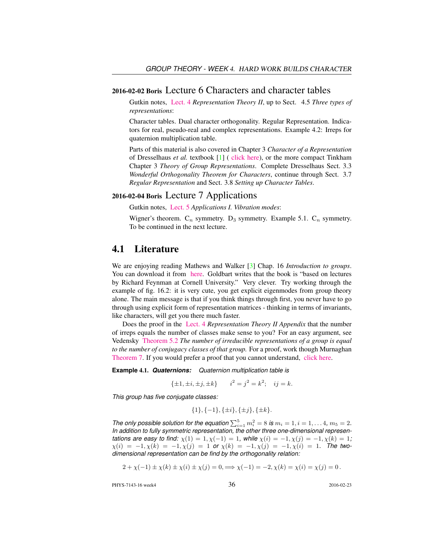#### 2016-02-02 Boris Lecture 6 Characters and character tables

Gutkin notes, [Lect. 4](http://birdtracks.eu/courses/PHYS-7143-16/groups.pdf) *Representation Theory II*, up to Sect. 4.5 *Three types of representations*:

Character tables. Dual character orthogonality. Regular Representation. Indicators for real, pseudo-real and complex representations. Example 4.2: Irreps for quaternion multiplication table.

Parts of this material is also covered in Chapter 3 *Character of a Representation* of Dresselhaus *et al.* textbook [1] ( [click here\)](http://chaosbook.org/library/Dresselhaus07.pdf), or the more compact Tinkham Chapter 3 *Theory of Group Representations*. Complete Dresselhaus Sect. 3.3 *Wonderful Orthogonality Theorem for Characters*, continue through Sect. 3.7 *Regular Representation* and Sect. 3.8 *Setting up Character Tables*.

### 2016-02-04 Boris Lecture 7 Applications

Gutkin notes, [Lect. 5](http://birdtracks.eu/courses/PHYS-7143-16/groups.pdf) *Applications I. Vibration modes*:

Wigner's theorem.  $C_n$  symmetry. D<sub>3</sub> symmetry. Example 5.1.  $C_n$  symmetry. To be continued in the next lecture.

### 4.1 Literature

We are enjoying reading Mathews and Walker [3] Chap. 16 *Introduction to groups*. You can download it from [here.](https://www.scribd.com/doc/225369262/Mathematical-Methods-of-Physics-2nd-Edition-Mathews-Walker) Goldbart writes that the book is "based on lectures by Richard Feynman at Cornell University." Very clever. Try working through the example of fig. 16.2: it is very cute, you get explicit eigenmodes from group theory alone. The main message is that if you think things through first, you never have to go through using explicit form of representation matrices - thinking in terms of invariants, like characters, will get you there much faster.

Does the proof in the [Lect. 4](http://birdtracks.eu/courses/PHYS-7143-16/groups.pdf) *Representation Theory II Appendix* that the number of irreps equals the number of classes make sense to you? For an easy argument, see Vedensky [Theorem 5.2](http://www.cmth.ph.ic.ac.uk/people/d.vvedensky/groups/Chapter5.pdf) *The number of irreducible representations of a group is equal to the number of conjugacy classes of that group.* For a proof, work though Murnaghan [Theorem 7.](http://www.math.toronto.edu/murnaghan/courses/mat445/ch2.pdf) If you would prefer a proof that you cannot understand, [click here.](http://mathoverflow.net/questions/102879/bijection-between-irreducible-representations-and-conjugacy-classes-of-finite-gr)

**Example** 4.1. *Quaternions: Quaternion multiplication table is*

$$
\{\pm 1, \pm i, \pm j, \pm k\}
$$
  $i^2 = j^2 = k^2$ ;  $ij = k$ .

*This group has five conjugate classes:*

$$
\{1\}, \{-1\}, \{\pm i\}, \{\pm j\}, \{\pm k\}.
$$

*The only possible solution for the equation*  $\sum_{i=1}^{5} m_i^2 = 8$  *is*  $m_i = 1, i = 1, \ldots 4, m_5 = 2$ *. In addition to fully symmetric representation, the other three one-dimensional representations are easy to find:*  $\chi(1) = 1, \chi(-1) = 1$ *, while*  $\chi(i) = -1, \chi(j) = -1, \chi(k) = 1$ *;*  $\chi(i) = -1, \chi(k) = -1, \chi(j) = 1$  or  $\chi(k) = -1, \chi(j) = -1, \chi(i) = 1$ . The two*dimensional representation can be find by the orthogonality relation:*

$$
2 + \chi(-1) \pm \chi(k) \pm \chi(i) \pm \chi(j) = 0, \implies \chi(-1) = -2, \chi(k) = \chi(i) = \chi(j) = 0.
$$

PHYS-7143-16 week4 36 36 2016-02-23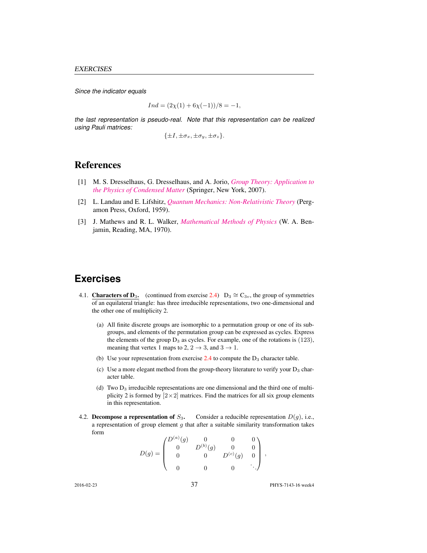*Since the indicator equals*

$$
Ind = (2\chi(1) + 6\chi(-1))/8 = -1,
$$

*the last representation is pseudo-real. Note that this representation can be realized using Pauli matrices:*

 $\{\pm I, \pm \sigma_x, \pm \sigma_y, \pm \sigma_z\}.$ 

### References

- [1] M. S. Dresselhaus, G. Dresselhaus, and A. Jorio, *[Group Theory: Application to](http://dx.doi.org/10.1007/978-3-540-32899-5) [the Physics of Condensed Matter](http://dx.doi.org/10.1007/978-3-540-32899-5)* (Springer, New York, 2007).
- [2] L. Landau and E. Lifshitz, *[Quantum Mechanics: Non-Relativistic Theory](https://archive.org/search.php?query=creator:%22L.D.+Landau+&+E.M.+Lifshitz%22)* (Pergamon Press, Oxford, 1959).
- [3] J. Mathews and R. L. Walker, *[Mathematical Methods of Physics](http://books.google.com/books?vid=ISBN9780805370027)* (W. A. Benjamin, Reading, MA, 1970).

## **Exercises**

- 4.1. Characters of D<sub>3</sub>. (continued from exercise 2.4) D<sub>3</sub>  $\cong$  C<sub>3v</sub>, the group of symmetries of an equilateral triangle: has three irreducible representations, two one-dimensional and the other one of multiplicity 2.
	- (a) All finite discrete groups are isomorphic to a permutation group or one of its subgroups, and elements of the permutation group can be expressed as cycles. Express the elements of the group  $D_3$  as cycles. For example, one of the rotations is (123), meaning that vertex 1 maps to 2,  $2 \rightarrow 3$ , and  $3 \rightarrow 1$ .
	- (b) Use your representation from exercise  $2.4$  to compute the  $D_3$  character table.
	- (c) Use a more elegant method from the group-theory literature to verify your  $D_3$  character table.
	- (d) Two  $D_3$  irreducible representations are one dimensional and the third one of multiplicity 2 is formed by  $[2 \times 2]$  matrices. Find the matrices for all six group elements in this representation.
- 4.2. Decompose a representation of  $S_3$ . Consider a reducible representation  $D(g)$ , i.e., a representation of group element  $g$  that after a suitable similarity transformation takes form  $\sqrt{a}$

$$
D(g) = \begin{pmatrix} D^{(a)}(g) & 0 & 0 & 0 \\ 0 & D^{(b)}(g) & 0 & 0 \\ 0 & 0 & D^{(c)}(g) & 0 \\ 0 & 0 & 0 & \ddots \end{pmatrix},
$$

2016-02-23 37 PHYS-7143-16 week4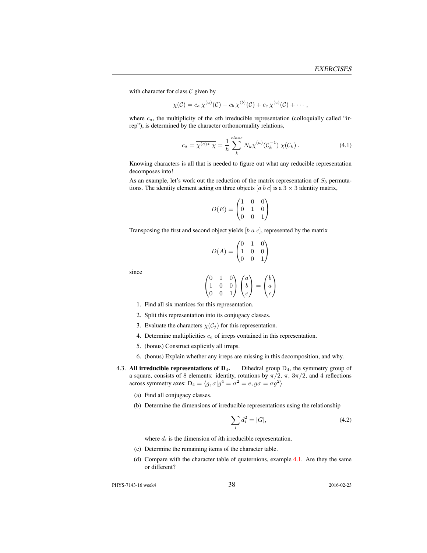with character for class  $C$  given by

$$
\chi(C) = c_a \,\chi^{(a)}(C) + c_b \,\chi^{(b)}(C) + c_c \,\chi^{(c)}(C) + \cdots,
$$

where  $c_a$ , the multiplicity of the  $a$ th irreducible representation (colloquially called "irrep"), is determined by the character orthonormality relations,

$$
c_a = \overline{\chi^{(a)*} \chi} = \frac{1}{h} \sum_{k}^{class} N_k \chi^{(a)}(\mathcal{C}_k^{-1}) \chi(\mathcal{C}_k).
$$
 (4.1)

Knowing characters is all that is needed to figure out what any reducible representation decomposes into!

As an example, let's work out the reduction of the matrix representation of  $S_3$  permutations. The identity element acting on three objects [a b c] is a  $3 \times 3$  identity matrix,

$$
D(E) = \begin{pmatrix} 1 & 0 & 0 \\ 0 & 1 & 0 \\ 0 & 0 & 1 \end{pmatrix}
$$

Transposing the first and second object yields  $[b \ a \ c]$ , represented by the matrix

$$
D(A) = \begin{pmatrix} 0 & 1 & 0 \\ 1 & 0 & 0 \\ 0 & 0 & 1 \end{pmatrix}
$$

since

$$
\begin{pmatrix} 0 & 1 & 0 \\ 1 & 0 & 0 \\ 0 & 0 & 1 \end{pmatrix} \begin{pmatrix} a \\ b \\ c \end{pmatrix} = \begin{pmatrix} b \\ a \\ c \end{pmatrix}
$$

- 1. Find all six matrices for this representation.
- 2. Split this representation into its conjugacy classes.
- 3. Evaluate the characters  $\chi(C_j)$  for this representation.
- 4. Determine multiplicities  $c_a$  of irreps contained in this representation.
- 5. (bonus) Construct explicitly all irreps.
- 6. (bonus) Explain whether any irreps are missing in this decomposition, and why.
- 4.3. All irreducible representations of  $D_4$ . Dihedral group  $D_4$ , the symmetry group of a square, consists of 8 elements: identity, rotations by  $\pi/2$ ,  $\pi$ ,  $3\pi/2$ , and 4 reflections across symmetry axes:  $D_4 = \langle g, \sigma | g^4 = \sigma^2 = e, g\sigma = \sigma g^2 \rangle$ 
	- (a) Find all conjugacy classes.
	- (b) Determine the dimensions of irreducible representations using the relationship

$$
\sum_{i} d_i^2 = |G|,\t\t(4.2)
$$

where  $d_i$  is the dimension of *i*th irreducible representation.

- (c) Determine the remaining items of the character table.
- (d) Compare with the character table of quaternions, example 4.1. Are they the same or different?

PHYS-7143-16 week4 2016-02-23